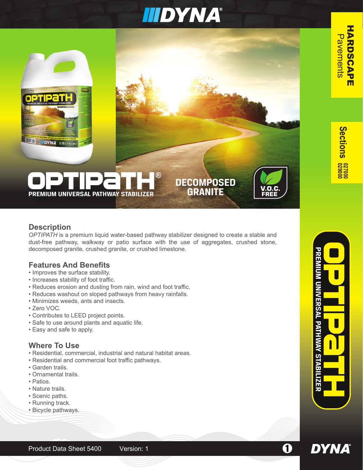# **IIIDYNA®**

**DECOMPOSED GRANITE**

**S e ctions**



# **PREMIUM UNIVERSAL PATHWAY STABILIZER**

# **Description**

*OPTIPATH* is a premium liquid water-based pathway stabilizer designed to create a stable and dust-free pathway, walkway or patio surface with the use of aggregates, crushed stone, decomposed granite, crushed granite, or crushed limestone.

# **Features And Benefits**

- Improves the surface stability.
- Increases stability of foot traffic.
- Reduces erosion and dusting from rain, wind and foot traffic.
- Reduces washout on sloped pathways from heavy rainfalls.
- Minimizes weeds, ants and insects.
- Zero VOC.
- Contributes to LEED project points.
- Safe to use around plants and aquatic life.
- Easy and safe to apply.

# **Where To Use**

- Residential, commercial, industrial and natural habitat areas.
- Residential and commercial foot traffic pathways.
- Garden trails.
- Ornamental trails.
- Patios.
- Nature trails.
- Scenic paths.
- Running track.
- Bicycle pathways.



**PREMIUM UNIVERSAL PATHWAY STABILIZER**

**DYNA**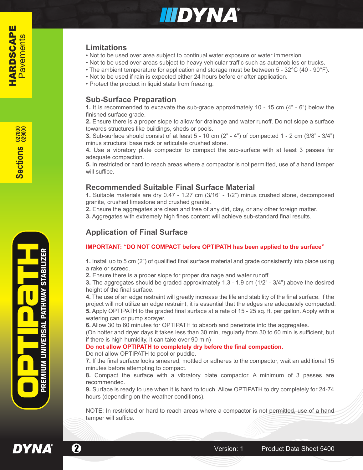

### **Limitations**

- Not to be used over area subject to continual water exposure or water immersion.
- Not to be used over areas subject to heavy vehicular traffic such as automobiles or trucks.
- The ambient temperature for application and storage must be between 5 32°C (40 90°F).
- Not to be used if rain is expected either 24 hours before or after application.
- Protect the product in liquid state from freezing.

#### **Sub-Surface Preparation**

**1.** It is recommended to excavate the sub-grade approximately 10 - 15 cm (4" - 6") below the finished surface grade.

**2.** Ensure there is a proper slope to allow for drainage and water runoff. Do not slope a surface towards structures like buildings, sheds or pools.

**3.** Sub-surface should consist of at least  $5 - 10$  cm  $(2<sup>n</sup> - 4<sup>n</sup>)$  of compacted  $1 - 2$  cm  $(3/8<sup>n</sup> - 3/4<sup>n</sup>)$ minus structural base rock or articulate crushed stone.

**4.** Use a vibratory plate compactor to compact the sub-surface with at least 3 passes for adequate compaction.

**5.** In restricted or hard to reach areas where a compactor is not permitted, use of a hand tamper will suffice.

### **Recommended Suitable Final Surface Material**

**1.** Suitable materials are dry 0.47 - 1.27 cm (3/16" - 1/2") minus crushed stone, decomposed granite, crushed limestone and crushed granite.

**2.** Ensure the aggregates are clean and free of any dirt, clay, or any other foreign matter.

**3.** Aggregates with extremely high fines content will achieve sub-standard final results.

# **Application of Final Surface**

#### **IMPORTANT: "DO NOT COMPACT before OPTIPATH has been applied to the surface"**

**1.** Install up to 5 cm (2") of qualified final surface material and grade consistently into place using a rake or screed.

**2.** Ensure there is a proper slope for proper drainage and water runoff.

**3.** The aggregates should be graded approximately 1.3 - 1.9 cm (1/2" - 3/4") above the desired height of the final surface.

**4.** The use of an edge restraint will greatly increase the life and stability of the final surface. If the project will not utilize an edge restraint, it is essential that the edges are adequately compacted. **5.** Apply OPTIPATH to the graded final surface at a rate of 15 - 25 sq. ft. per gallon. Apply with a watering can or pump sprayer.

**6.** Allow 30 to 60 minutes for OPTIPATH to absorb and penetrate into the aggregates.

(On hotter and dryer days it takes less than 30 min, regularly from 30 to 60 min is sufficient, but if there is high humidity, it can take over 90 min)

#### **Do not allow OPTIPATH to completely dry before the final compaction.**

Do not allow OPTIPATH to pool or puddle.

**7.** If the final surface looks smeared, mottled or adheres to the compactor, wait an additional 15 minutes before attempting to compact.

**8.** Compact the surface with a vibratory plate compactor. A minimum of 3 passes are recommended.

**9.** Surface is ready to use when it is hard to touch. Allow OPTIPATH to dry completely for 24-74 hours (depending on the weather conditions).

NOTE: In restricted or hard to reach areas where a compactor is not permitted, use of a hand tamper will suffice.



**DYNA**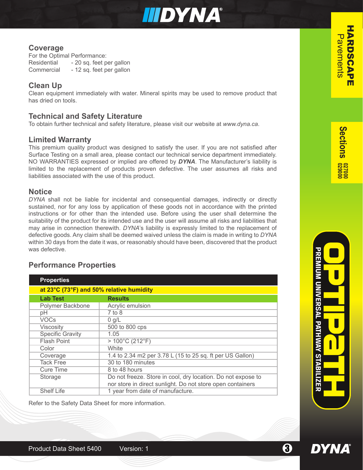

# **Coverage**

For the Optimal Performance: Residential - 20 sq. feet per gallon Commercial - 12 sq. feet per gallon

# **Clean Up**

Clean equipment immediately with water. Mineral spirits may be used to remove product that has dried on tools.

### **Technical and Safety Literature**

To obtain further technical and safety literature, please visit our website at *www.dyna.ca*.

### **Limited Warranty**

This premium quality product was designed to satisfy the user. If you are not satisfied after Surface Testing on a small area, please contact our technical service department immediately. NO WARRANTIES expressed or implied are offered by *DYNA*. The Manufacturer's liability is limited to the replacement of products proven defective. The user assumes all risks and liabilities associated with the use of this product.

# **Notice**

*DYNA* shall not be liable for incidental and consequential damages, indirectly or directly sustained, nor for any loss by application of these goods not in accordance with the printed instructions or for other than the intended use. Before using the user shall determine the suitability of the product for its intended use and the user will assume all risks and liabilities that may arise in connection therewith. *DYNA*'s liability is expressly limited to the replacement of defective goods. Any claim shall be deemed waived unless the claim is made in writing to *DYNA* within 30 days from the date it was, or reasonably should have been, discovered that the product was defective.

# **Performance Properties**

| <b>Properties</b>                        |                                                              |
|------------------------------------------|--------------------------------------------------------------|
| at 23°C (73°F) and 50% relative humidity |                                                              |
| <b>Lab Test</b>                          | <b>Results</b>                                               |
| Polymer Backbone                         | Acrylic emulsion                                             |
| рH                                       | $7$ to 8                                                     |
| <b>VOCs</b>                              | $0$ g/L                                                      |
| Viscosity                                | 500 to 800 cps                                               |
| <b>Specific Gravity</b>                  | 1.05                                                         |
| <b>Flash Point</b>                       | $>100^{\circ}$ C (212 $^{\circ}$ F)                          |
| Color                                    | White                                                        |
| Coverage                                 | 1.4 to 2.34 m2 per 3.78 L (15 to 25 sq. ft per US Gallon)    |
| <b>Tack Free</b>                         | 30 to 180 minutes                                            |
| <b>Cure Time</b>                         | 8 to 48 hours                                                |
| Storage                                  | Do not freeze. Store in cool, dry location. Do not expose to |
|                                          | nor store in direct sunlight. Do not store open containers   |
| <b>Shelf Life</b>                        | 1 year from date of manufacture.                             |

Refer to the Safety Data Sheet for more information.



**DYNA**